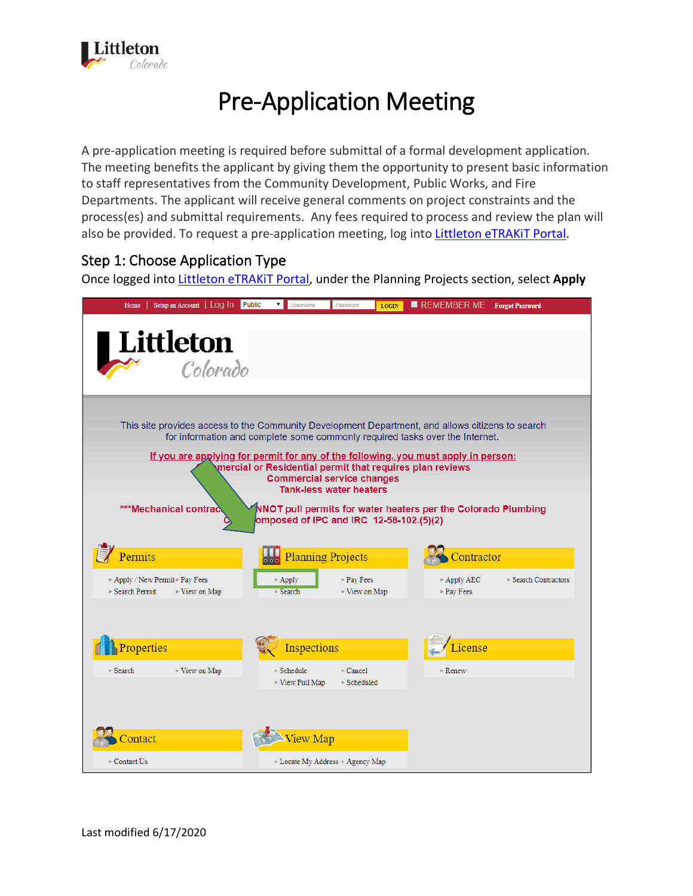

# Pre-Application Meeting

A pre-application meeting is required before submittal of a formal development application. The meeting benefits the applicant by giving them the opportunity to present basic information to staff representatives from the Community Development, Public Works, and Fire Departments. The applicant will receive general comments on project constraints and the process(es) and submittal requirements. Any fees required to process and review the plan will also be provided. To request a pre-application meeting, log into [Littleton eTRAKiT Portal.](https://permit9.littletongov.org/eTRAKiT)

#### Step 1: Choose Application Type

Once logged into [Littleton eTRAKiT Portal,](https://permit9.littletongov.org/eTRAKiT) under the Planning Projects section, select **Apply**

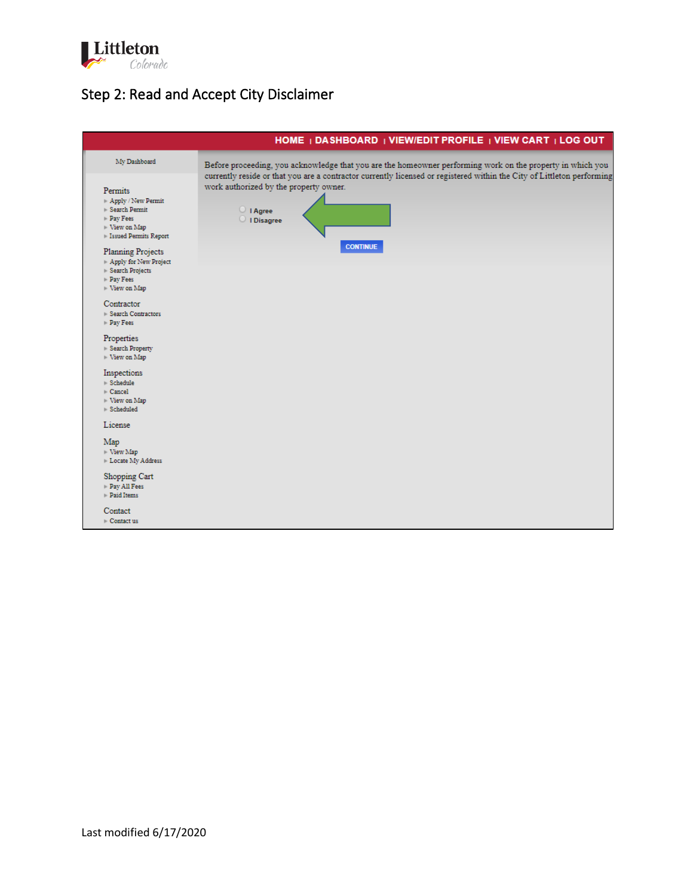

# Step 2: Read and Accept City Disclaimer

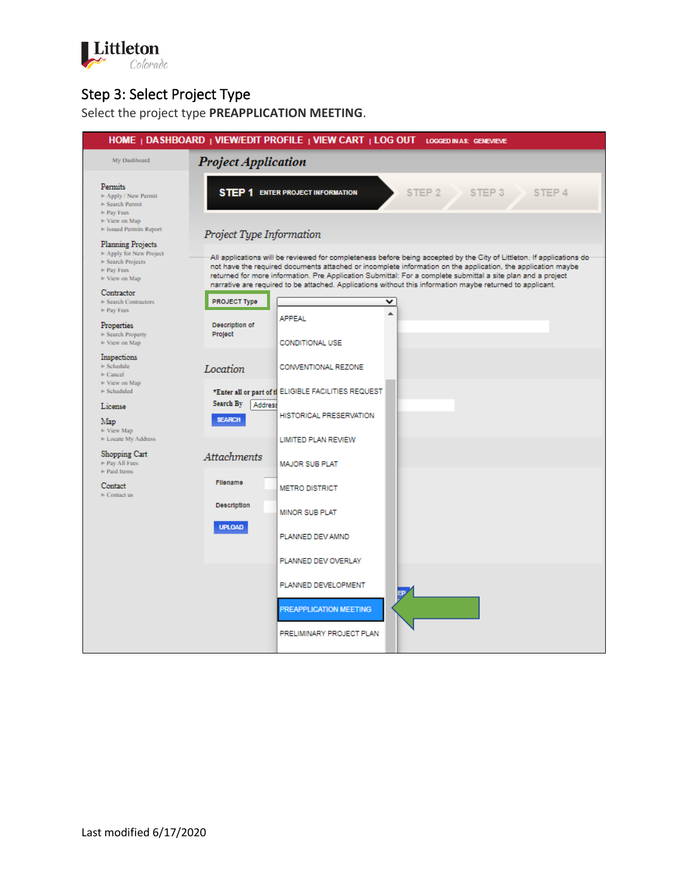

## Step 3: Select Project Type

Select the project type **PREAPPLICATION MEETING**.

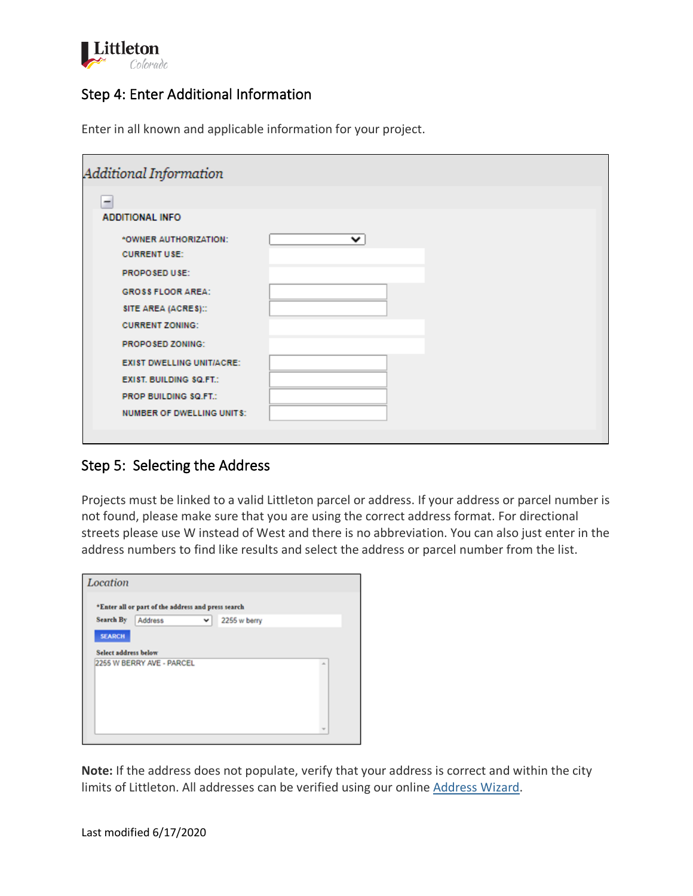

## Step 4: Enter Additional Information

| Additional Information                       |   |  |
|----------------------------------------------|---|--|
| -                                            |   |  |
| <b>ADDITIONAL INFO</b>                       |   |  |
| *OWNER AUTHORIZATION:<br><b>CURRENT USE:</b> | ⌄ |  |
|                                              |   |  |
| PROPOSED USE:                                |   |  |
| <b>GROSS FLOOR AREA:</b>                     |   |  |
| SITE AREA (ACRES)::                          |   |  |
| <b>CURRENT ZONING:</b>                       |   |  |
| PROPOSED ZONING:                             |   |  |
| <b>EXIST DWELLING UNIT/ACRE:</b>             |   |  |
| <b>EXIST. BUILDING SQ.FT.:</b>               |   |  |
| PROP BUILDING \$Q.FT.:                       |   |  |
| <b>NUMBER OF DWELLING UNITS:</b>             |   |  |
|                                              |   |  |

Enter in all known and applicable information for your project.

## Step 5: Selecting the Address

Projects must be linked to a valid Littleton parcel or address. If your address or parcel number is not found, please make sure that you are using the correct address format. For directional streets please use W instead of West and there is no abbreviation. You can also just enter in the address numbers to find like results and select the address or parcel number from the list.

|                      | *Enter all or part of the address and press search |   |              |   |
|----------------------|----------------------------------------------------|---|--------------|---|
| <b>Search By</b>     | Address                                            | v | 2255 w berry |   |
| <b>SEARCH</b>        |                                                    |   |              |   |
| Select address below |                                                    |   |              |   |
|                      | 2255 W BERRY AVE - PARCEL                          |   |              |   |
|                      |                                                    |   |              | ۰ |
|                      |                                                    |   |              |   |
|                      |                                                    |   |              |   |
|                      |                                                    |   |              |   |

**Note:** If the address does not populate, verify that your address is correct and within the city limits of Littleton. All addresses can be verified using our online [Address Wizard.](https://www.littletongov.org/my-littleton/map-gallery/address-wizard)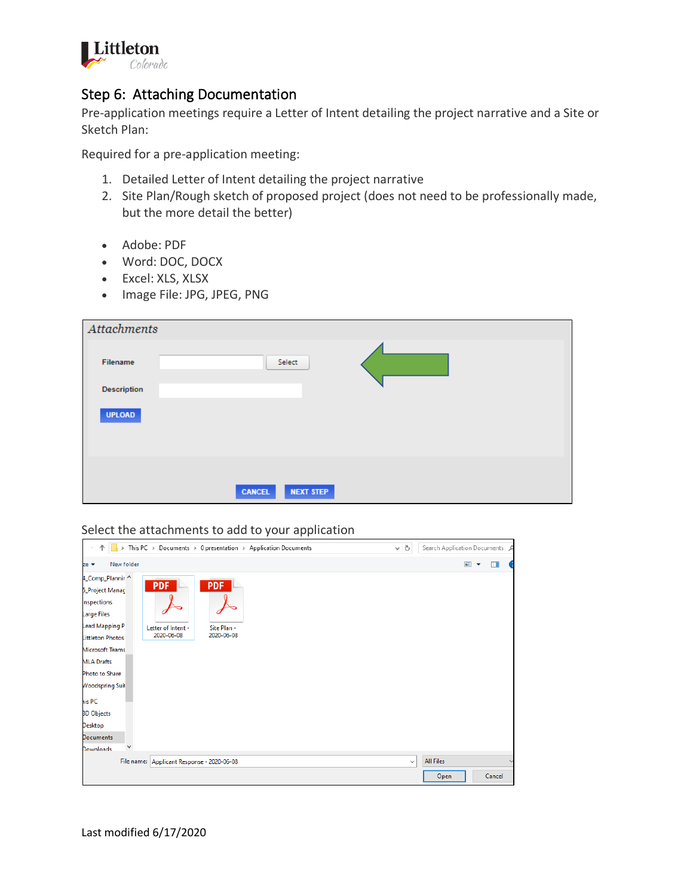

#### Step 6: Attaching Documentation

Pre-application meetings require a Letter of Intent detailing the project narrative and a Site or Sketch Plan:

Required for a pre-application meeting:

- 1. Detailed Letter of Intent detailing the project narrative
- 2. Site Plan/Rough sketch of proposed project (does not need to be professionally made, but the more detail the better)
- Adobe: PDF
- Word: DOC, DOCX
- Excel: XLS, XLSX
- Image File: JPG, JPEG, PNG

| Attachments        |               |                  |  |
|--------------------|---------------|------------------|--|
| Filename           |               | Select           |  |
| <b>Description</b> |               |                  |  |
| <b>UPLOAD</b>      |               |                  |  |
|                    |               |                  |  |
|                    | <b>CANCEL</b> | <b>NEXT STEP</b> |  |

Select the attachments to add to your application

| This PC > Documents > 0 presentation > Application Documents<br>$\,$                                                                                                                                                                                                                                                                                                    | $\sim$ 0     | Search Application Documents P |                                            |
|-------------------------------------------------------------------------------------------------------------------------------------------------------------------------------------------------------------------------------------------------------------------------------------------------------------------------------------------------------------------------|--------------|--------------------------------|--------------------------------------------|
| New folder<br>ze ▼                                                                                                                                                                                                                                                                                                                                                      |              | $\blacksquare$                 | $\blacksquare$<br>$\overline{\phantom{a}}$ |
| 4_Comp_Plannir<br><b>PDF</b><br><b>PDF</b><br>5_Project Manag<br>nspections<br>Large Files<br>Lead Mapping P<br>Letter of Intent -<br>Site Plan -<br>2020-06-08<br>2020-06-08<br>Littleton Photos<br><b>Microsoft Teams</b><br><b>MLA Drafts</b><br>Photo to Share<br><b>Noodspring Suit</b><br>iis PC<br><b>3D Objects</b><br>Desktop<br>Documents<br><b>Downloads</b> |              |                                |                                            |
| File name: Applicant Response - 2020-06-08                                                                                                                                                                                                                                                                                                                              | $\checkmark$ | <b>All Files</b><br>Open       | $\checkmark$<br>Cancel                     |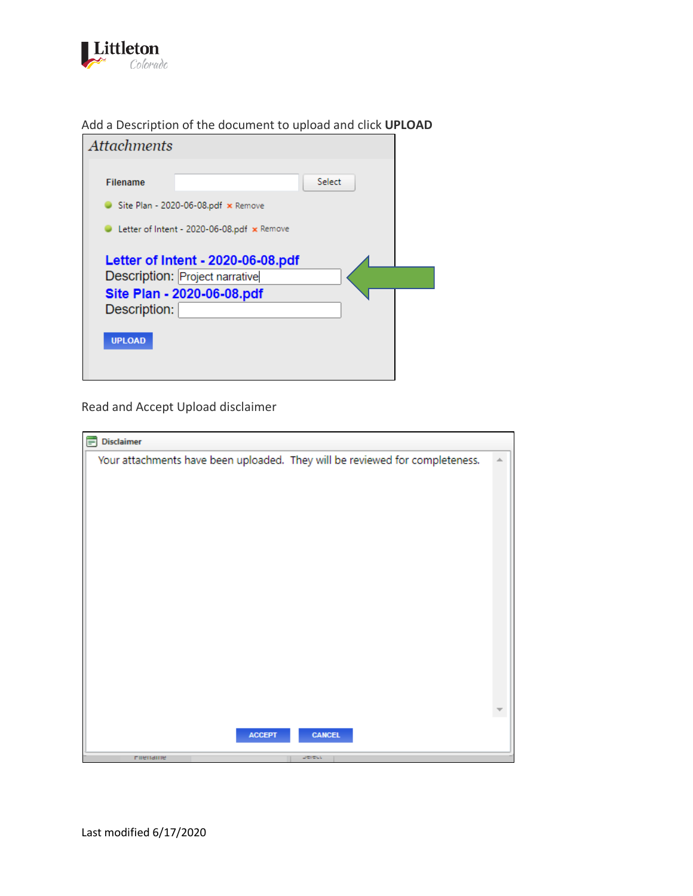

| Add a Description of the document to upload and click UPLOAD |  |  |  |
|--------------------------------------------------------------|--|--|--|
|--------------------------------------------------------------|--|--|--|

| <b>Attachments</b>                                                                                                                 |  |
|------------------------------------------------------------------------------------------------------------------------------------|--|
| Select<br><b>Filename</b><br>Site Plan - 2020-06-08.pdf $\times$ Remove                                                            |  |
| Letter of Intent - 2020-06-08.pdf x Remove                                                                                         |  |
| Letter of Intent - 2020-06-08.pdf<br>Description: Project narrative<br>Site Plan - 2020-06-08.pdf<br>Description:<br><b>UPLOAD</b> |  |

Read and Accept Upload disclaimer

| <b>Disclaimer</b>                                                            |   |
|------------------------------------------------------------------------------|---|
| Your attachments have been uploaded. They will be reviewed for completeness. | ۸ |
|                                                                              |   |
|                                                                              |   |
|                                                                              |   |
|                                                                              |   |
|                                                                              |   |
|                                                                              |   |
|                                                                              |   |
|                                                                              |   |
|                                                                              |   |
|                                                                              |   |
|                                                                              |   |
|                                                                              |   |
|                                                                              |   |
|                                                                              |   |
|                                                                              |   |
|                                                                              |   |
| <b>ACCEPT</b><br><b>CANCEL</b>                                               |   |
| DETECT<br>miename                                                            |   |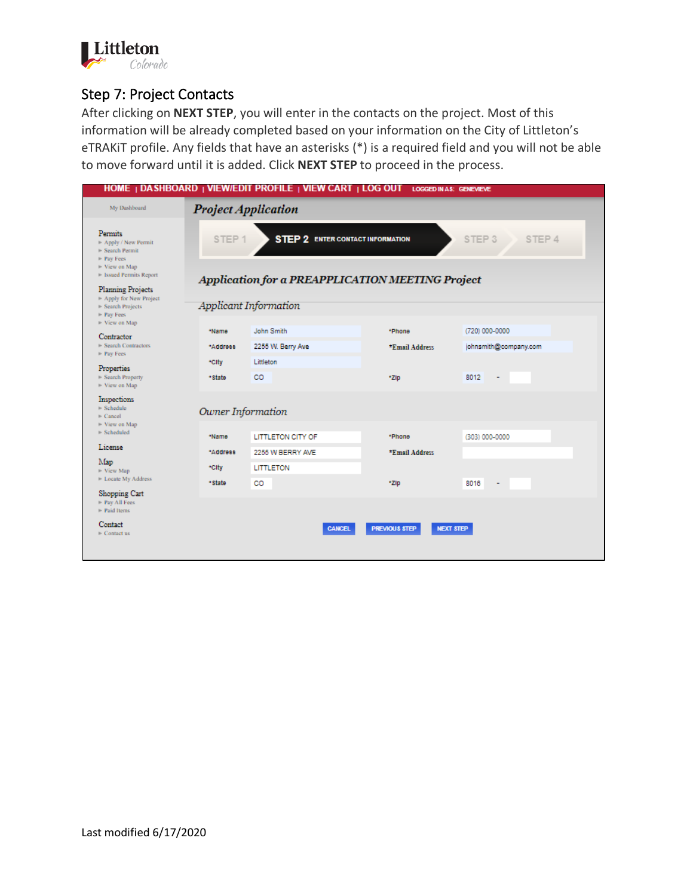

#### Step 7: Project Contacts

After clicking on **NEXT STEP**, you will enter in the contacts on the project. Most of this information will be already completed based on your information on the City of Littleton's eTRAKiT profile. Any fields that have an asterisks (\*) is a required field and you will not be able to move forward until it is added. Click **NEXT STEP** to proceed in the process.

| HOME   DASHBOARD   VIEW/EDIT PROFILE   VIEW CART   LOG OUT LOGGED IN AS: GENEVIEVE                                                                            |                   |                                                                                             |                                          |                             |
|---------------------------------------------------------------------------------------------------------------------------------------------------------------|-------------------|---------------------------------------------------------------------------------------------|------------------------------------------|-----------------------------|
| <b>Project Application</b><br>My Dashboard                                                                                                                    |                   |                                                                                             |                                          |                             |
| Permits<br>- Apply / New Permit<br>- Search Permit<br>$\blacktriangleright$ Pay Fees<br>- View on Map<br>1- Issued Permits Report<br><b>Planning Projects</b> | STEP <sub>1</sub> | <b>STEP 2 ENTER CONTACT INFORMATION</b><br>Application for a PREAPPLICATION MEETING Project |                                          | STEP <sub>3</sub><br>STEP 4 |
| - Apply for New Project<br>- Search Projects<br>- Pay Fees                                                                                                    |                   | <b>Applicant Information</b>                                                                |                                          |                             |
| - View on Map<br>Contractor                                                                                                                                   | *Name             | John Smith                                                                                  | *Phone                                   | (720) 000-0000              |
| Search Contractors<br>- Pay Fees                                                                                                                              | *Address<br>*City | 2255 W. Berry Ave<br>Littleton                                                              | *Emsil Address                           | johnsmith@company.com       |
| Properties<br>- Search Property<br>$\blacktriangleright$ View on Map                                                                                          | *State            | CO                                                                                          | *Zip                                     | 8012<br>۰                   |
| Inspections<br>$-$ Schedule<br>$\triangleright$ Cancel                                                                                                        | Owner Information |                                                                                             |                                          |                             |
| - View on Map<br>- Scheduled                                                                                                                                  | *Name             | <b>LITTLETON CITY OF</b>                                                                    | *Phone                                   | (303) 000-0000              |
| License<br>Map                                                                                                                                                | *Address          | 2255 W BERRY AVE                                                                            | *Email Address                           |                             |
| - View Map<br>- Locate My Address                                                                                                                             | *City<br>* State  | <b>LITTLETON</b><br>CO                                                                      | *ZIp                                     | 8016                        |
| Shopping Cart<br>Pay All Fees<br>Paid Items                                                                                                                   |                   |                                                                                             |                                          |                             |
| Contact<br>$\vdash$ Contact us                                                                                                                                |                   | <b>CANCEL</b>                                                                               | <b>PREVIOUS STEP</b><br><b>NEXT STEP</b> |                             |
|                                                                                                                                                               |                   |                                                                                             |                                          |                             |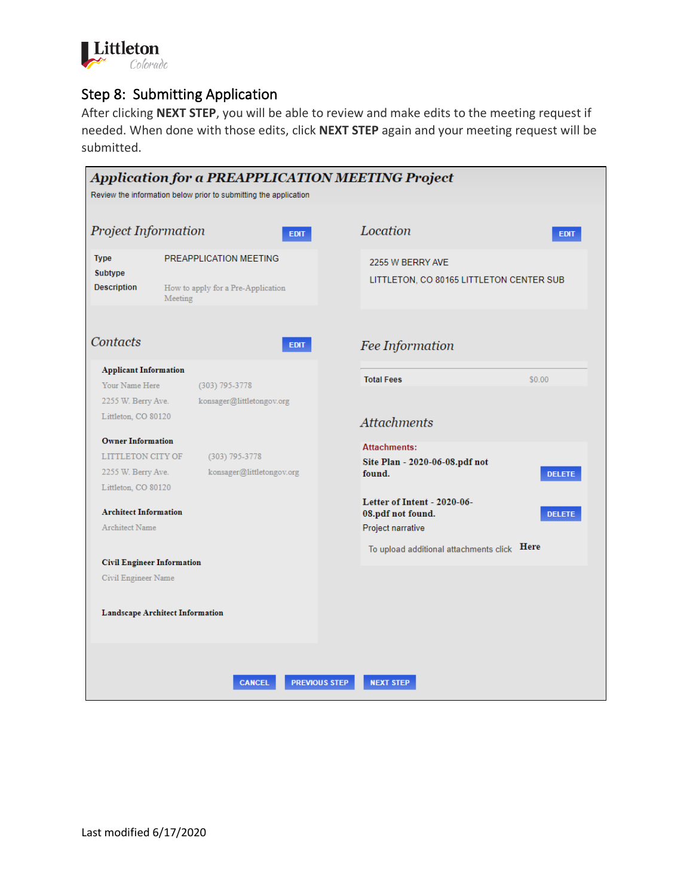

#### Step 8: Submitting Application

After clicking **NEXT STEP**, you will be able to review and make edits to the meeting request if needed. When done with those edits, click **NEXT STEP** again and your meeting request will be submitted.

| Application for a PREAPPLICATION MEETING Project<br>Review the information below prior to submitting the application           |                                        |                                                                                        |
|--------------------------------------------------------------------------------------------------------------------------------|----------------------------------------|----------------------------------------------------------------------------------------|
| <b>Project Information</b>                                                                                                     | <b>EDIT</b>                            | Location<br><b>EDIT</b>                                                                |
| PREAPPLICATION MEETING<br><b>Type</b><br><b>Subtype</b><br><b>Description</b><br>How to apply for a Pre-Application<br>Meeting |                                        | 2255 W BERRY AVE<br>LITTLETON, CO 80165 LITTLETON CENTER SUB                           |
| Contacts                                                                                                                       | <b>EDIT</b>                            | Fee Information                                                                        |
| <b>Applicant Information</b>                                                                                                   |                                        | \$0.00<br><b>Total Fees</b>                                                            |
| Your Name Here                                                                                                                 | (303) 795-3778                         |                                                                                        |
| 2255 W. Berry Ave.                                                                                                             | konsager@littletongov.org              |                                                                                        |
| Littleton, CO 80120                                                                                                            |                                        | <b>Attachments</b>                                                                     |
| <b>Owner Information</b>                                                                                                       |                                        | <b>Attachments:</b>                                                                    |
| <b>LITTLETON CITY OF</b>                                                                                                       | (303) 795-3778                         | Site Plan - 2020-06-08.pdf not                                                         |
| 2255 W. Berry Ave.                                                                                                             | konsager@littletongov.org              | found.<br><b>DELETE</b>                                                                |
| Littleton, CO 80120<br><b>Architect Information</b><br><b>Architect Name</b>                                                   |                                        | Letter of Intent - 2020-06-<br>08.pdf not found.<br><b>DELETE</b><br>Project narrative |
|                                                                                                                                |                                        | Here<br>To upload additional attachments click                                         |
| <b>Civil Engineer Information</b>                                                                                              |                                        |                                                                                        |
| Civil Engineer Name                                                                                                            |                                        |                                                                                        |
|                                                                                                                                | <b>Landscape Architect Information</b> |                                                                                        |
|                                                                                                                                | <b>CANCEL</b>                          | <b>PREVIOUS STEP</b><br><b>NEXT STEP</b>                                               |